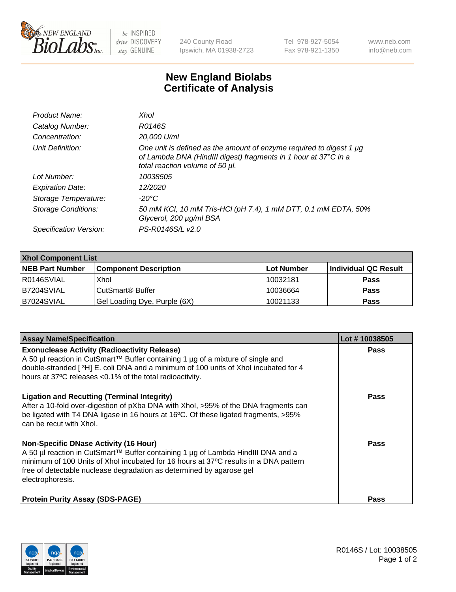

 $be$  INSPIRED drive DISCOVERY stay GENUINE

240 County Road Ipswich, MA 01938-2723 Tel 978-927-5054 Fax 978-921-1350 www.neb.com info@neb.com

## **New England Biolabs Certificate of Analysis**

| Product Name:           | Xhol                                                                                                                                                                      |
|-------------------------|---------------------------------------------------------------------------------------------------------------------------------------------------------------------------|
| Catalog Number:         | R0146S                                                                                                                                                                    |
| Concentration:          | 20,000 U/ml                                                                                                                                                               |
| Unit Definition:        | One unit is defined as the amount of enzyme required to digest 1 µg<br>of Lambda DNA (HindIII digest) fragments in 1 hour at 37°C in a<br>total reaction volume of 50 µl. |
| Lot Number:             | 10038505                                                                                                                                                                  |
| <b>Expiration Date:</b> | 12/2020                                                                                                                                                                   |
| Storage Temperature:    | -20°C                                                                                                                                                                     |
| Storage Conditions:     | 50 mM KCl, 10 mM Tris-HCl (pH 7.4), 1 mM DTT, 0.1 mM EDTA, 50%<br>Glycerol, 200 µg/ml BSA                                                                                 |
| Specification Version:  | PS-R0146S/L v2.0                                                                                                                                                          |

| <b>Xhol Component List</b> |                              |             |                      |  |  |
|----------------------------|------------------------------|-------------|----------------------|--|--|
| <b>NEB Part Number</b>     | <b>Component Description</b> | ∣Lot Number | Individual QC Result |  |  |
| R0146SVIAL                 | Xhol                         | 10032181    | <b>Pass</b>          |  |  |
| IB7204SVIAL                | CutSmart® Buffer             | 10036664    | <b>Pass</b>          |  |  |
| B7024SVIAL                 | Gel Loading Dye, Purple (6X) | 10021133    | <b>Pass</b>          |  |  |

| <b>Assay Name/Specification</b>                                                                                                                                                                                                                                                                                      | Lot #10038505 |
|----------------------------------------------------------------------------------------------------------------------------------------------------------------------------------------------------------------------------------------------------------------------------------------------------------------------|---------------|
| <b>Exonuclease Activity (Radioactivity Release)</b><br>A 50 µl reaction in CutSmart™ Buffer containing 1 µg of a mixture of single and<br>double-stranded [3H] E. coli DNA and a minimum of 100 units of Xhol incubated for 4<br>hours at 37°C releases <0.1% of the total radioactivity.                            | <b>Pass</b>   |
| <b>Ligation and Recutting (Terminal Integrity)</b><br>After a 10-fold over-digestion of pXba DNA with Xhol, >95% of the DNA fragments can<br>be ligated with T4 DNA ligase in 16 hours at 16°C. Of these ligated fragments, >95%<br>can be recut with Xhol.                                                          | <b>Pass</b>   |
| <b>Non-Specific DNase Activity (16 Hour)</b><br>A 50 µl reaction in CutSmart™ Buffer containing 1 µg of Lambda HindIII DNA and a<br>minimum of 100 Units of Xhol incubated for 16 hours at 37°C results in a DNA pattern<br>free of detectable nuclease degradation as determined by agarose gel<br>electrophoresis. | Pass          |
| <b>Protein Purity Assay (SDS-PAGE)</b>                                                                                                                                                                                                                                                                               | Pass          |